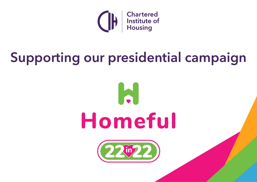

# **Supporting our presidential campaign**



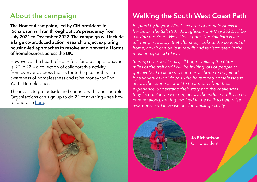#### **About the campaign Walking the South West Coast Path**

**The Homeful campaign, led by CIH president Jo Richardson will run throughout Jo's presidency from July 2021 to December 2022. The campaign will include a large co-produced action research project exploring housing-led approaches to resolve and prevent all forms of homelessness across the UK.**

However, at the heart of Homeful's fundraising endeavour is '22 in 22' – a collection of collaborative activity from everyone across the sector to help us both raise awareness of homelessness and raise money for End Youth Homelessness.

The idea is to get outside and connect with other people. Organisations can sign up to do 22 of anything – see how to fundraise [here](https://eur02.safelinks.protection.outlook.com/?url=http%3A%2F%2Fwww.justgiving.com%2Fcampaign%2Fhomeful&data=04%7C01%7CAdele.Jones%40cih.org%7C7d2e920e5fbb46329fe008d9c07bbadd%7C0000e9ea9ee347939563177e444fb497%7C0%7C0%7C637752459913098912%7CUnknown%7CTWFpbGZsb3d8eyJWIjoiMC4wLjAwMDAiLCJQIjoiV2luMzIiLCJBTiI6Ik1haWwiLCJXVCI6Mn0%3D%7C3000&sdata=gbdw%2B%2BnIYYO33ECtbxy4QJ7nwwkzpsddirmZiWCe%2BOE%3D&reserved=0).



*her book, The Salt Path, throughout April/May 2022, I'll be walking the South West Coast path. The Salt Path is lifeaffirming true story, that ultimately looks at the concept of home, how it can be lost, rebuilt and rediscovered in the most unexpected of ways.* 

*Starting on Good Friday, I'll begin walking the 600+ miles of the trail and I will be inviting lots of people to get involved to keep me company. I hope to be joined by a variety of individuals who have faced homelessness across the country. I want to hear more about their experience, understand their story and the challenges they faced. People working across the industry will also be coming along, getting involved in the walk to help raise awareness and increase our fundraising activity.* 





**Jo Richardson** CIH president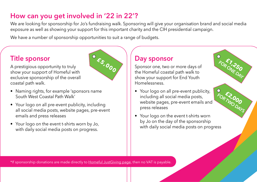## **How can you get involved in '22 in 22'?**

We are looking for sponsorship for Jo's fundraising walk. Sponsoring will give your organisation brand and social media exposure as well as showing your support for this important charity and the CIH presidential campaign.

We have a number of sponsorship opportunities to suit a range of budgets.

#### **Title sponsor**

A prestigious opportunity to truly show your support of Homeful with exclusive sponsorship of the overall coastal path walk.

- Naming rights, for example 'sponsors name South West Coastal Path Walk'
- Your logo on all pre-event publicity, including all social media posts, website pages, pre-event emails and press releases
- Your logo on the event t-shirts worn by Jo, with daily social media posts on progress.

## **Day sponsor**

Sponsor one, two or more days of the Homeful coastal path walk to show your support for End Youth Homelessness.

**£7,250 FOR 7,250** 

**£2,000 FOR TWO DAYS**

- Your logo on all pre-event publicity, including all social media posts, website pages, pre-event emails and press releases
- Your logo on the event t-shirts worn by Jo on the day of the sponsorship with daily social media posts on progress



\*If sponsorship donations are made directly to Homeful Just Giving page, then no VAT is payable.